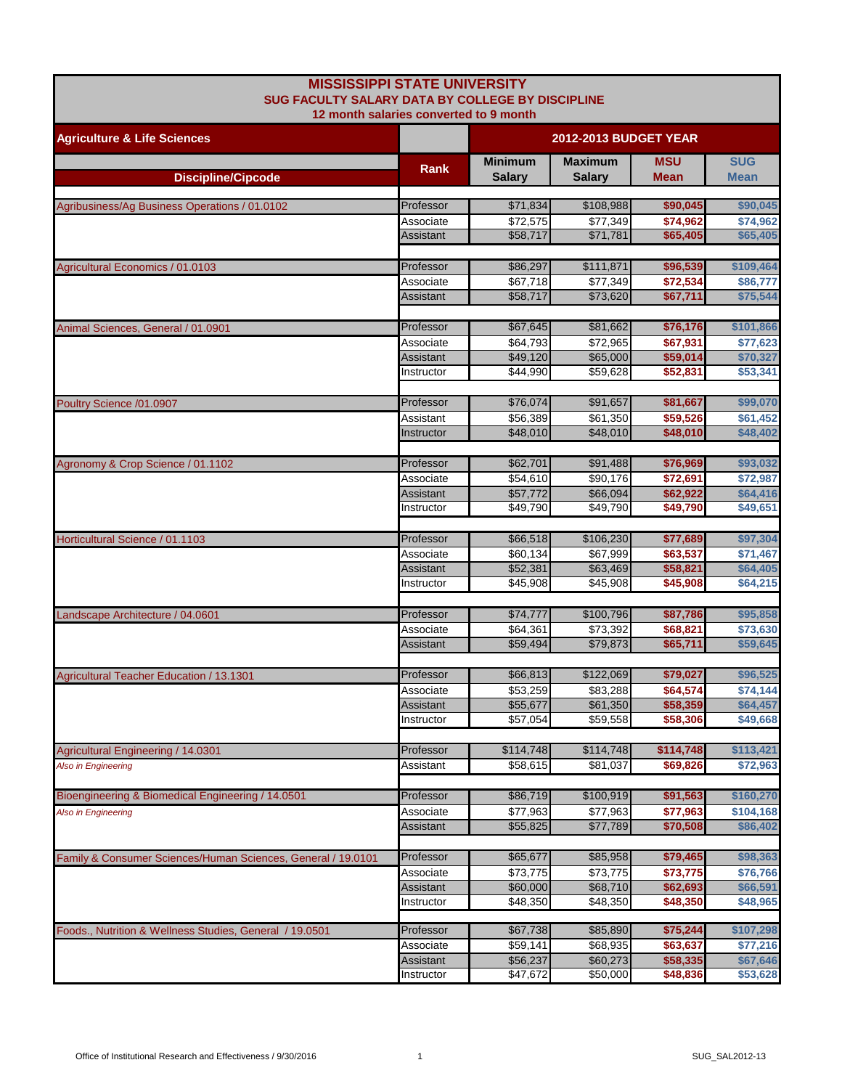| <b>MISSISSIPPI STATE UNIVERSITY</b><br>SUG FACULTY SALARY DATA BY COLLEGE BY DISCIPLINE |                         |                                 |                                 |                           |                           |
|-----------------------------------------------------------------------------------------|-------------------------|---------------------------------|---------------------------------|---------------------------|---------------------------|
| 12 month salaries converted to 9 month                                                  |                         |                                 |                                 |                           |                           |
| <b>Agriculture &amp; Life Sciences</b>                                                  |                         |                                 | <b>2012-2013 BUDGET YEAR</b>    |                           |                           |
| <b>Discipline/Cipcode</b>                                                               | Rank                    | <b>Minimum</b><br><b>Salary</b> | <b>Maximum</b><br><b>Salary</b> | <b>MSU</b><br><b>Mean</b> | <b>SUG</b><br><b>Mean</b> |
|                                                                                         |                         |                                 |                                 |                           |                           |
| Agribusiness/Ag Business Operations / 01.0102                                           | Professor<br>Associate  | \$71,834<br>\$72,575            | \$108,988<br>\$77,349           | \$90,045<br>\$74,962      | \$90,045<br>\$74,962      |
|                                                                                         | Assistant               | \$58,717                        | \$71,781                        | \$65,405                  | \$65,405                  |
|                                                                                         |                         |                                 |                                 |                           |                           |
| Agricultural Economics / 01.0103                                                        | Professor               | \$86,297                        | \$111,871                       | \$96,539                  | \$109,464                 |
|                                                                                         | Associate               | \$67,718                        | \$77,349                        | \$72,534                  | \$86,777                  |
|                                                                                         | Assistant               | \$58,717                        | \$73,620                        | \$67,711                  | \$75,544                  |
| Animal Sciences, General / 01.0901                                                      | Professor               | \$67,645                        | \$81,662                        | \$76,176                  | \$101,866                 |
|                                                                                         | Associate               | \$64,793                        | \$72,965                        | \$67,931                  | \$77,623                  |
|                                                                                         | Assistant               | \$49,120                        | \$65,000                        | \$59,014                  | \$70,327                  |
|                                                                                         | Instructor              | \$44,990                        | \$59.628                        | \$52,831                  | \$53,341                  |
|                                                                                         |                         |                                 |                                 |                           |                           |
| Poultry Science /01.0907                                                                | Professor               | \$76,074                        | \$91,657                        | \$81,667                  | \$99,070                  |
|                                                                                         | Assistant<br>Instructor | \$56,389<br>\$48,010            | \$61,350<br>\$48,010            | \$59,526<br>\$48,010      | \$61,452<br>\$48,402      |
|                                                                                         |                         |                                 |                                 |                           |                           |
| Agronomy & Crop Science / 01.1102                                                       | Professor               | \$62,701                        | \$91,488                        | \$76,969                  | \$93,032                  |
| Horticultural Science / 01.1103                                                         | Associate               | \$54,610                        | \$90,176                        | \$72,691                  | \$72,987                  |
|                                                                                         | Assistant               | \$57,772                        | \$66,094                        | \$62,922                  | \$64,416                  |
|                                                                                         | Instructor              | \$49,790                        | \$49,790                        | \$49,790                  | \$49,651                  |
|                                                                                         | Professor               | \$66,518                        | \$106,230                       | \$77,689                  | \$97,304                  |
|                                                                                         | Associate               | \$60,134                        | \$67,999                        | \$63,537                  | \$71,467                  |
|                                                                                         | Assistant               | \$52,381                        | \$63,469                        | \$58,821                  | \$64,405                  |
|                                                                                         | Instructor              | \$45,908                        | \$45,908                        | \$45,908                  | \$64,215                  |
|                                                                                         |                         |                                 |                                 |                           |                           |
| Landscape Architecture / 04.0601                                                        | Professor               | \$74,777                        | \$100,796                       | \$87,786                  | \$95,858                  |
|                                                                                         | Associate               | \$64,361<br>\$59,494            | \$73,392<br>\$79,873            | \$68,821<br>\$65,711      | \$73,630<br>\$59,645      |
|                                                                                         | Assistant               |                                 |                                 |                           |                           |
| Agricultural Teacher Education / 13.1301                                                | Professor               | \$66,813                        | \$122,069                       | \$79,027                  | \$96,525                  |
|                                                                                         | Associate               | \$53,259                        | \$83,288                        | \$64,574                  | \$74,144                  |
|                                                                                         | <b>Assistant</b>        | \$55,677                        | \$61,350                        | \$58,359                  | \$64,457                  |
|                                                                                         | Instructor              | \$57,054                        | \$59,558                        | \$58,306                  | \$49,668                  |
|                                                                                         |                         |                                 |                                 |                           |                           |
| Agricultural Engineering / 14.0301<br>Also in Engineering                               | Professor<br>Assistant  | \$114,748<br>\$58,615           | \$114,748<br>\$81,037           | \$114,748<br>\$69,826     | \$113,421<br>\$72,963     |
|                                                                                         |                         |                                 |                                 |                           |                           |
| Bioengineering & Biomedical Engineering / 14.0501                                       | Professor               | \$86,719                        | \$100,919                       | \$91,563                  | \$160,270                 |
| Also in Engineering                                                                     | Associate               | \$77,963                        | \$77,963                        | \$77,963                  | \$104,168                 |
|                                                                                         | Assistant               | \$55,825                        | \$77,789                        | \$70,508                  | \$86,402                  |
|                                                                                         |                         |                                 |                                 |                           |                           |
| Family & Consumer Sciences/Human Sciences, General / 19.0101                            | Professor               | \$65,677                        | \$85,958                        | \$79,465<br>\$73,775      | \$98,363<br>\$76,766      |
|                                                                                         | Associate<br>Assistant  | \$73,775<br>\$60,000            | \$73,775<br>\$68,710            | \$62,693                  | \$66,591                  |
|                                                                                         | Instructor              | \$48,350                        | \$48,350                        | \$48,350                  | \$48,965                  |
|                                                                                         |                         |                                 |                                 |                           |                           |
| Foods., Nutrition & Wellness Studies, General / 19.0501                                 | Professor               | \$67,738                        | \$85,890                        | \$75,244                  | \$107,298                 |
|                                                                                         | Associate               | \$59,141                        | \$68,935                        | \$63,637                  | \$77,216                  |
|                                                                                         | Assistant<br>Instructor | \$56,237<br>\$47,672            | \$60,273<br>\$50,000            | \$58,335<br>\$48,836      | \$67,646<br>\$53,628      |
|                                                                                         |                         |                                 |                                 |                           |                           |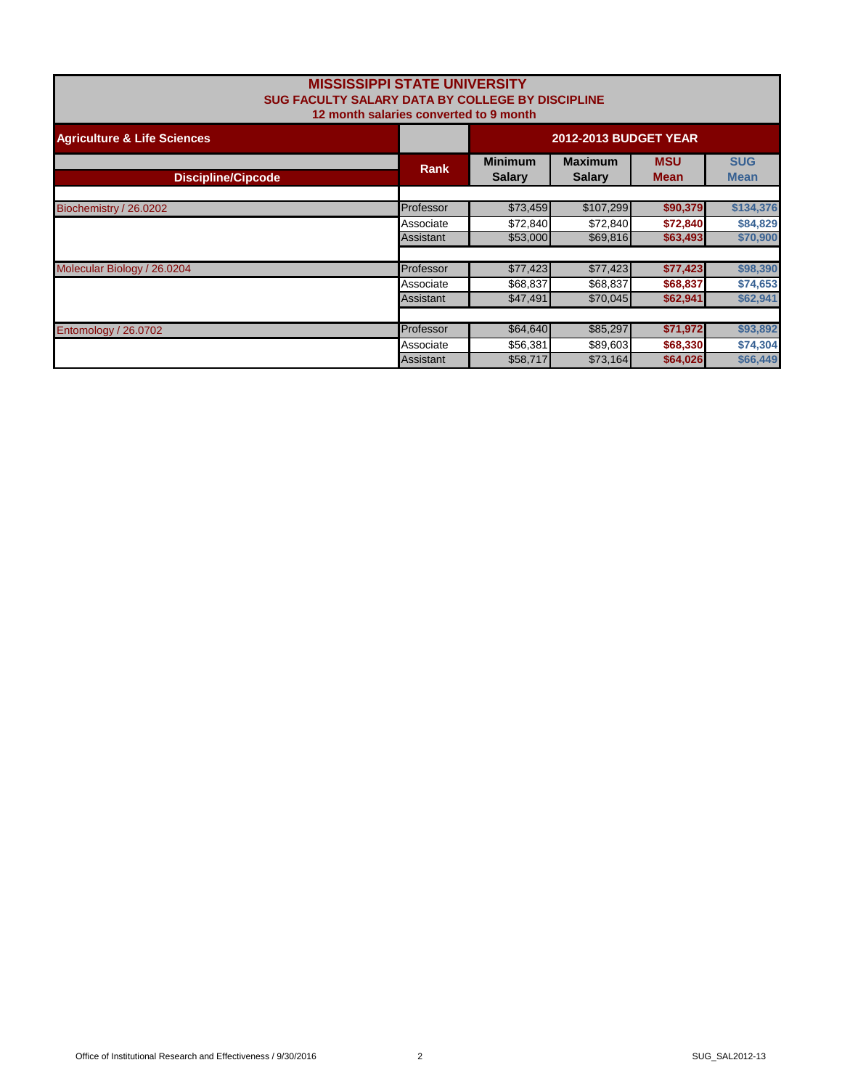| <b>MISSISSIPPI STATE UNIVERSITY</b><br>SUG FACULTY SALARY DATA BY COLLEGE BY DISCIPLINE<br>12 month salaries converted to 9 month |             |                                 |                           |          |           |
|-----------------------------------------------------------------------------------------------------------------------------------|-------------|---------------------------------|---------------------------|----------|-----------|
| <b>Agriculture &amp; Life Sciences</b>                                                                                            |             | <b>2012-2013 BUDGET YEAR</b>    |                           |          |           |
| <b>Discipline/Cipcode</b>                                                                                                         | <b>Rank</b> | <b>Minimum</b><br><b>Salary</b> | <b>SUG</b><br><b>Mean</b> |          |           |
| Biochemistry / 26.0202                                                                                                            | Professor   | \$73,459                        | \$107,299                 | \$90,379 | \$134,376 |
|                                                                                                                                   | Associate   | \$72,840                        | \$72,840                  | \$72,840 | \$84,829  |
|                                                                                                                                   | Assistant   | \$53,000                        | \$69,816                  | \$63,493 | \$70,900  |
| Molecular Biology / 26.0204                                                                                                       | Professor   | \$77,423                        | \$77,423                  | \$77,423 | \$98,390  |
|                                                                                                                                   | Associate   | \$68,837                        | \$68,837                  | \$68,837 | \$74,653  |
|                                                                                                                                   | Assistant   | \$47,491                        | \$70,045                  | \$62,941 | \$62,941  |
|                                                                                                                                   |             |                                 |                           |          |           |
| Entomology / 26.0702                                                                                                              | Professor   | \$64,640                        | \$85,297                  | \$71,972 | \$93,892  |
|                                                                                                                                   | Associate   | \$56,381                        | \$89,603                  | \$68,330 | \$74,304  |
|                                                                                                                                   | Assistant   | \$58,717                        | \$73,164                  | \$64,026 | \$66,449  |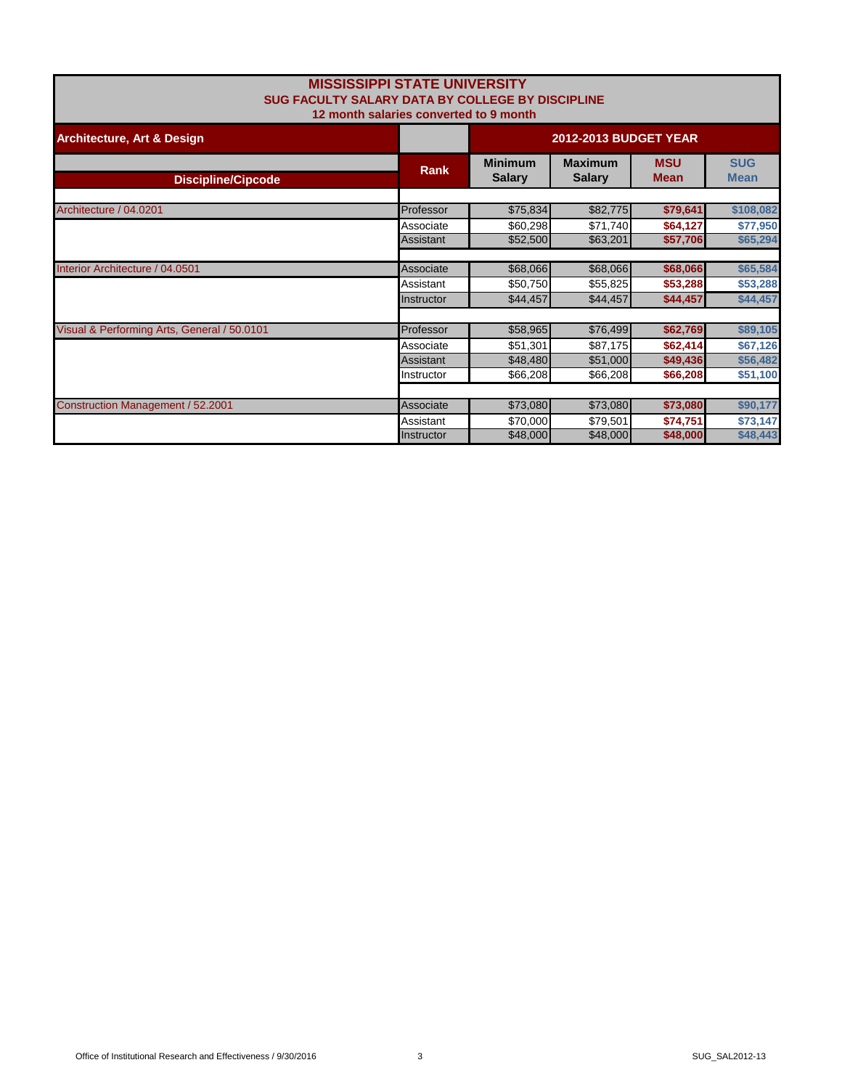|                                             | <b>MISSISSIPPI STATE UNIVERSITY</b><br>SUG FACULTY SALARY DATA BY COLLEGE BY DISCIPLINE<br>12 month salaries converted to 9 month |                                 |                                 |                           |                           |
|---------------------------------------------|-----------------------------------------------------------------------------------------------------------------------------------|---------------------------------|---------------------------------|---------------------------|---------------------------|
| <b>Architecture, Art &amp; Design</b>       |                                                                                                                                   | <b>2012-2013 BUDGET YEAR</b>    |                                 |                           |                           |
| <b>Discipline/Cipcode</b>                   | <b>Rank</b>                                                                                                                       | <b>Minimum</b><br><b>Salary</b> | <b>Maximum</b><br><b>Salary</b> | <b>MSU</b><br><b>Mean</b> | <b>SUG</b><br><b>Mean</b> |
| Architecture / 04.0201                      | Professor                                                                                                                         | \$75,834                        | \$82,775                        | \$79,641                  | \$108,082                 |
|                                             | Associate<br>Assistant                                                                                                            | \$60,298<br>\$52,500            | \$71,740<br>\$63,201            | \$64,127<br>\$57,706      | \$77,950<br>\$65,294      |
| Interior Architecture / 04.0501             | Associate                                                                                                                         | \$68,066                        | \$68,066                        | \$68,066                  | \$65,584                  |
|                                             | Assistant<br>Instructor                                                                                                           | \$50,750<br>\$44,457            | \$55,825<br>\$44,457            | \$53,288<br>\$44,457      | \$53,288<br>\$44,457      |
| Visual & Performing Arts, General / 50.0101 | Professor                                                                                                                         | \$58,965                        | \$76,499                        | \$62,769                  | \$89,105                  |
|                                             | Associate<br>Assistant                                                                                                            | \$51,301<br>\$48,480            | \$87,175<br>\$51,000            | \$62,414<br>\$49,436      | \$67,126<br>\$56,482      |
|                                             | Instructor                                                                                                                        | \$66,208                        | \$66,208                        | \$66,208                  | \$51,100                  |
| <b>Construction Management / 52.2001</b>    | Associate                                                                                                                         | \$73,080                        | \$73,080                        | \$73,080                  | \$90,177                  |
|                                             | Assistant<br>Instructor                                                                                                           | \$70,000<br>\$48,000            | \$79,501<br>\$48,000            | \$74,751<br>\$48,000      | \$73,147<br>\$48,443      |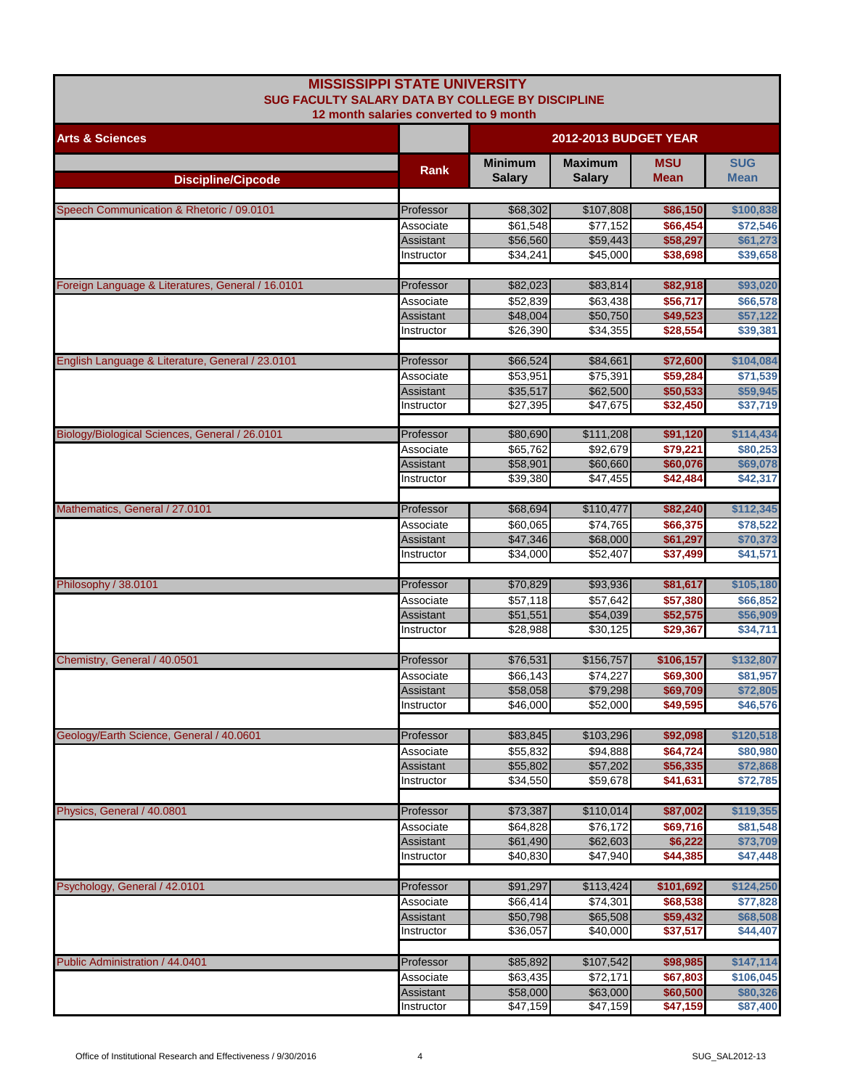| <b>MISSISSIPPI STATE UNIVERSITY</b><br>SUG FACULTY SALARY DATA BY COLLEGE BY DISCIPLINE<br>12 month salaries converted to 9 month |                         |                                 |                                 |                           |                           |  |
|-----------------------------------------------------------------------------------------------------------------------------------|-------------------------|---------------------------------|---------------------------------|---------------------------|---------------------------|--|
| <b>Arts &amp; Sciences</b>                                                                                                        |                         |                                 | <b>2012-2013 BUDGET YEAR</b>    |                           |                           |  |
| <b>Discipline/Cipcode</b>                                                                                                         | Rank                    | <b>Minimum</b><br><b>Salary</b> | <b>Maximum</b><br><b>Salary</b> | <b>MSU</b><br><b>Mean</b> | <b>SUG</b><br><b>Mean</b> |  |
|                                                                                                                                   |                         |                                 |                                 |                           |                           |  |
| Speech Communication & Rhetoric / 09.0101                                                                                         | Professor<br>Associate  | \$68,302<br>\$61,548            | \$107,808<br>\$77,152           | \$86,150<br>\$66,454      | \$100,838<br>\$72,546     |  |
|                                                                                                                                   | Assistant               | \$56,560                        | \$59,443                        | \$58,297                  | \$61,273                  |  |
|                                                                                                                                   | Instructor              | \$34,241                        | \$45,000                        | \$38,698                  | \$39,658                  |  |
|                                                                                                                                   |                         |                                 |                                 |                           |                           |  |
| Foreign Language & Literatures, General / 16.0101                                                                                 | Professor               | \$82,023                        | \$83,814                        | \$82,918                  | \$93,020                  |  |
|                                                                                                                                   | Associate               | \$52,839                        | \$63,438                        | \$56,717                  | \$66,578                  |  |
|                                                                                                                                   | Assistant<br>Instructor | \$48,004<br>\$26,390            | \$50,750<br>\$34,355            | \$49,523<br>\$28,554      | \$57,122<br>\$39,381      |  |
|                                                                                                                                   |                         |                                 |                                 |                           |                           |  |
| English Language & Literature, General / 23.0101                                                                                  | Professor               | \$66,524                        | \$84,661                        | \$72,600                  | \$104,084                 |  |
|                                                                                                                                   | Associate               | \$53,951                        | \$75,391                        | \$59,284                  | \$71,539                  |  |
|                                                                                                                                   | Assistant               | \$35,517                        | \$62,500                        | \$50,533                  | \$59,945                  |  |
|                                                                                                                                   | Instructor              | \$27,395                        | \$47,675                        | \$32,450                  | \$37,719                  |  |
| Biology/Biological Sciences, General / 26.0101                                                                                    | Professor               | \$80,690                        | \$111,208                       | \$91,120                  | \$114,434                 |  |
|                                                                                                                                   | Associate               | \$65,762                        | \$92.679                        | \$79,221                  | \$80,253                  |  |
|                                                                                                                                   | Assistant               | \$58,901                        | \$60,660                        | \$60,076                  | \$69,078                  |  |
|                                                                                                                                   | Instructor              | \$39.380                        | \$47,455                        | \$42,484                  | \$42,317                  |  |
|                                                                                                                                   |                         |                                 |                                 |                           |                           |  |
| Mathematics, General / 27.0101                                                                                                    | Professor               | \$68,694                        | \$110,477                       | \$82,240                  | \$112,345                 |  |
|                                                                                                                                   | Associate<br>Assistant  | \$60,065<br>\$47,346            | \$74,765<br>\$68,000            | \$66,375<br>\$61,297      | \$78,522<br>\$70,373      |  |
|                                                                                                                                   | Instructor              | \$34,000                        | \$52,407                        | \$37,499                  | \$41,571                  |  |
|                                                                                                                                   |                         |                                 |                                 |                           |                           |  |
| Philosophy / 38.0101                                                                                                              | Professor               | \$70,829                        | \$93,936                        | \$81,617                  | \$105,180                 |  |
|                                                                                                                                   | Associate               | \$57,118                        | \$57,642                        | \$57,380                  | \$66,852                  |  |
|                                                                                                                                   | Assistant               | \$51,551                        | \$54,039                        | \$52,575                  | \$56,909                  |  |
|                                                                                                                                   | Instructor              | \$28,988                        | \$30,125                        | \$29,367                  | \$34,711                  |  |
| Chemistry, General / 40.0501                                                                                                      | Professor               | \$76,531                        | \$156,757                       | \$106,157                 | \$132,807                 |  |
|                                                                                                                                   | Associate               | \$66,143                        | \$74,227                        | \$69,300                  | \$81,957                  |  |
|                                                                                                                                   | Assistant               | \$58,058                        | \$79,298                        | \$69,709                  | \$72,805                  |  |
|                                                                                                                                   | Instructor              | \$46,000                        | \$52,000                        | \$49,595                  | \$46,576                  |  |
|                                                                                                                                   |                         |                                 |                                 |                           |                           |  |
| Geology/Earth Science, General / 40.0601                                                                                          | Professor               | \$83,845                        | \$103,296                       | \$92,098                  | \$120,518                 |  |
|                                                                                                                                   | Associate<br>Assistant  | \$55,832<br>\$55,802            | \$94,888<br>\$57,202            | \$64,724<br>\$56,335      | \$80,980<br>\$72,868      |  |
|                                                                                                                                   | Instructor              | \$34,550                        | \$59,678                        | \$41,631                  | \$72,785                  |  |
|                                                                                                                                   |                         |                                 |                                 |                           |                           |  |
| Physics, General / 40.0801                                                                                                        | Professor               | \$73,387                        | \$110,014                       | \$87,002                  | \$119,355                 |  |
|                                                                                                                                   | Associate               | \$64,828                        | \$76,172                        | \$69,716                  | \$81,548                  |  |
|                                                                                                                                   | Assistant               | \$61,490                        | \$62,603                        | \$6,222                   | \$73,709                  |  |
|                                                                                                                                   | Instructor              | \$40,830                        | \$47,940                        | \$44,385                  | \$47,448                  |  |
| Psychology, General / 42.0101                                                                                                     | Professor               | \$91,297                        | \$113,424                       | \$101,692                 | \$124,250                 |  |
|                                                                                                                                   | Associate               | \$66,414                        | \$74,301                        | \$68,538                  | \$77,828                  |  |
|                                                                                                                                   | Assistant               | \$50,798                        | \$65,508                        | \$59,432                  | \$68,508                  |  |
|                                                                                                                                   | Instructor              | \$36,057                        | \$40,000                        | \$37,517                  | \$44,407                  |  |
|                                                                                                                                   |                         |                                 |                                 |                           |                           |  |
| Public Administration / 44.0401                                                                                                   | Professor               | \$85,892                        | \$107,542                       | \$98,985                  | \$147,114                 |  |
|                                                                                                                                   | Associate<br>Assistant  | \$63,435<br>\$58,000            | \$72,171<br>\$63,000            | \$67,803<br>\$60,500      | \$106,045<br>\$80,326     |  |
|                                                                                                                                   | Instructor              | \$47,159                        | \$47,159                        | \$47,159                  | \$87,400                  |  |
|                                                                                                                                   |                         |                                 |                                 |                           |                           |  |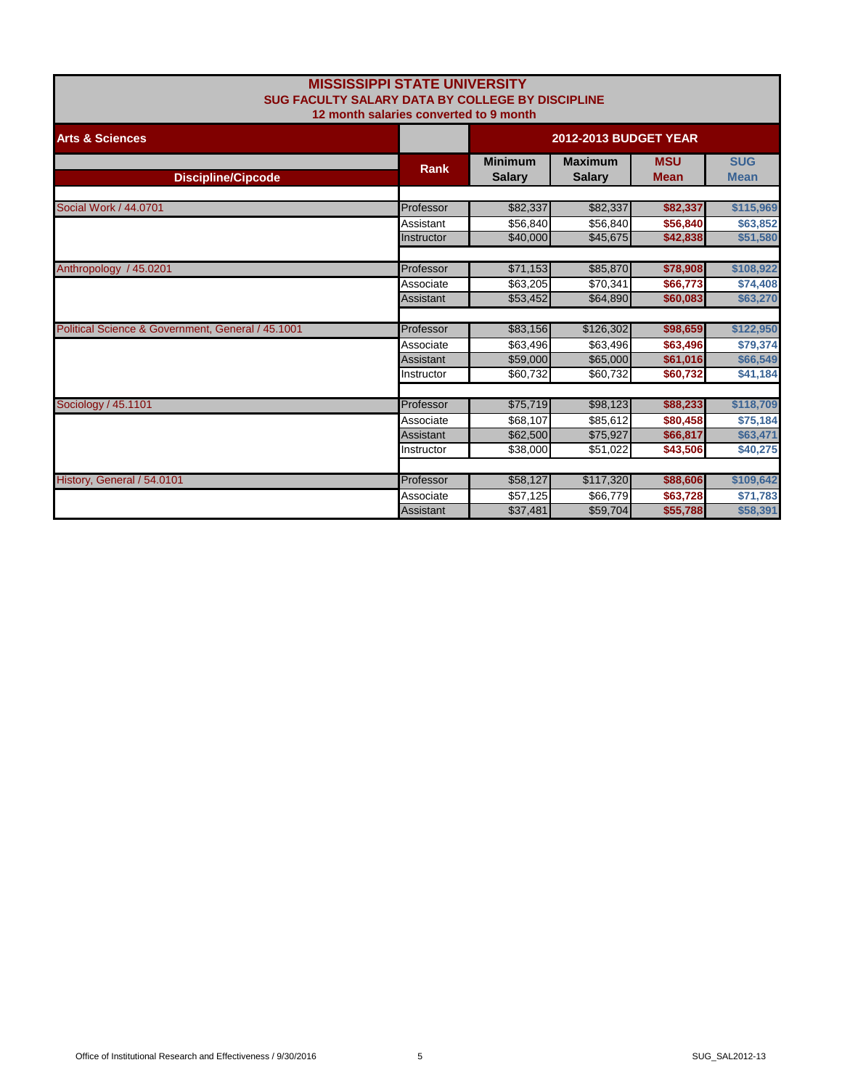|                                                         | <b>MISSISSIPPI STATE UNIVERSITY</b>    |                              |                |             |             |
|---------------------------------------------------------|----------------------------------------|------------------------------|----------------|-------------|-------------|
| <b>SUG FACULTY SALARY DATA BY COLLEGE BY DISCIPLINE</b> |                                        |                              |                |             |             |
|                                                         | 12 month salaries converted to 9 month |                              |                |             |             |
| <b>Arts &amp; Sciences</b>                              |                                        | <b>2012-2013 BUDGET YEAR</b> |                |             |             |
|                                                         |                                        | <b>Minimum</b>               | <b>Maximum</b> | <b>MSU</b>  | <b>SUG</b>  |
| <b>Discipline/Cipcode</b>                               | <b>Rank</b>                            | <b>Salary</b>                | <b>Salary</b>  | <b>Mean</b> | <b>Mean</b> |
|                                                         |                                        |                              |                |             |             |
| Social Work / 44.0701                                   | Professor                              | \$82,337                     | \$82,337       | \$82,337    | \$115,969   |
|                                                         | Assistant                              | \$56,840                     | \$56,840       | \$56,840    | \$63,852    |
|                                                         | Instructor                             | \$40,000                     | \$45,675       | \$42,838    | \$51,580    |
|                                                         |                                        |                              |                |             |             |
| Anthropology / 45.0201                                  | Professor                              | \$71,153                     | \$85,870       | \$78,908    | \$108,922   |
|                                                         | Associate                              | \$63,205                     | \$70,341       | \$66,773    | \$74,408    |
|                                                         | Assistant                              | \$53,452                     | \$64,890       | \$60,083    | \$63,270    |
|                                                         |                                        |                              |                |             |             |
| Political Science & Government, General / 45.1001       | Professor                              | \$83,156                     | \$126,302      | \$98,659    | \$122,950   |
|                                                         | Associate                              | \$63,496                     | \$63,496       | \$63,496    | \$79,374    |
|                                                         | Assistant                              | \$59,000                     | \$65,000       | \$61,016    | \$66,549    |
|                                                         | Instructor                             | \$60,732                     | \$60,732       | \$60,732    | \$41,184    |
|                                                         |                                        |                              |                |             |             |
| Sociology / 45.1101                                     | Professor                              | \$75,719                     | \$98,123       | \$88,233    | \$118,709   |
|                                                         | Associate                              | \$68.107                     | \$85,612       | \$80,458    | \$75,184    |
|                                                         | Assistant                              | \$62,500                     | \$75,927       | \$66,817    | \$63,471    |
|                                                         | Instructor                             | \$38,000                     | \$51,022       | \$43,506    | \$40,275    |
|                                                         |                                        |                              |                |             |             |
| History, General / 54.0101                              | Professor                              | \$58,127                     | \$117,320      | \$88,606    | \$109,642   |
|                                                         | Associate                              | \$57,125                     | \$66,779       | \$63,728    | \$71,783    |
|                                                         | Assistant                              | \$37,481                     | \$59,704       | \$55,788    | \$58,391    |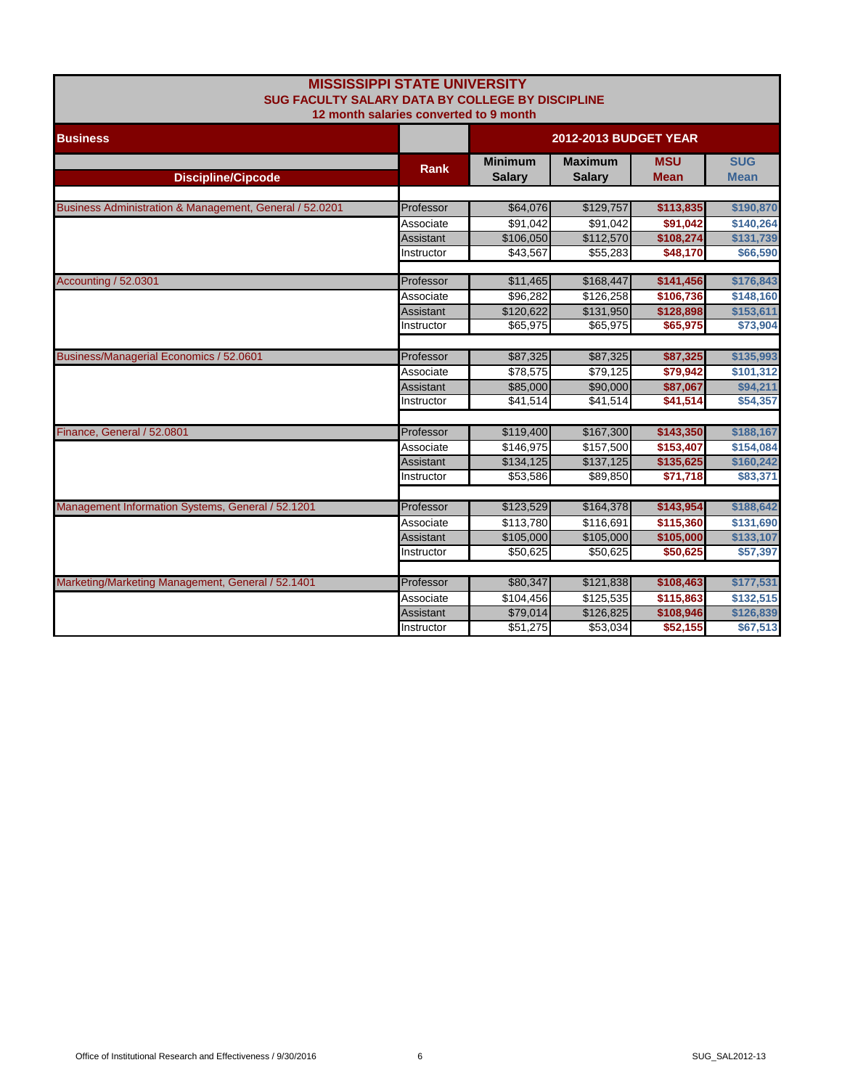| MISSISSIPPI STATE UNIVERSITT<br>SUG FACULTY SALARY DATA BY COLLEGE BY DISCIPLINE<br>12 month salaries converted to 9 month |                  |                                 |                                 |                           |                           |
|----------------------------------------------------------------------------------------------------------------------------|------------------|---------------------------------|---------------------------------|---------------------------|---------------------------|
| <b>Business</b>                                                                                                            |                  | <b>2012-2013 BUDGET YEAR</b>    |                                 |                           |                           |
| <b>Discipline/Cipcode</b>                                                                                                  | <b>Rank</b>      | <b>Minimum</b><br><b>Salary</b> | <b>Maximum</b><br><b>Salary</b> | <b>MSU</b><br><b>Mean</b> | <b>SUG</b><br><b>Mean</b> |
| Business Administration & Management, General / 52.0201                                                                    | Professor        | \$64,076                        | \$129,757                       | \$113,835                 | \$190,870                 |
|                                                                                                                            | Associate        | \$91,042                        | \$91,042                        | \$91,042                  | \$140,264                 |
|                                                                                                                            | Assistant        | \$106,050                       | \$112,570                       | \$108,274                 | \$131,739                 |
|                                                                                                                            | Instructor       | \$43,567                        | \$55,283                        | \$48,170                  | \$66,590                  |
| Accounting / 52.0301                                                                                                       | Professor        | \$11,465                        | \$168,447                       | \$141,456                 | \$176,843                 |
|                                                                                                                            | Associate        | \$96,282                        | \$126,258                       | \$106,736                 | \$148,160                 |
|                                                                                                                            | <b>Assistant</b> | \$120,622                       | \$131,950                       | \$128,898                 | \$153,611                 |
|                                                                                                                            | Instructor       | \$65,975                        | \$65,975                        | \$65,975                  | \$73,904                  |
| Business/Managerial Economics / 52.0601                                                                                    | Professor        | \$87,325                        | \$87,325                        | \$87,325                  | \$135,993                 |
|                                                                                                                            | Associate        | \$78,575                        | \$79,125                        | \$79,942                  | \$101,312                 |
|                                                                                                                            | Assistant        | \$85,000                        | \$90,000                        | \$87,067                  | \$94,211                  |
|                                                                                                                            | Instructor       | \$41,514                        | \$41,514                        | \$41,514                  | \$54,357                  |
|                                                                                                                            |                  |                                 |                                 |                           |                           |
| Finance, General / 52.0801                                                                                                 | Professor        | \$119,400                       | \$167,300                       | \$143,350                 | \$188,167                 |
|                                                                                                                            | Associate        | \$146,975                       | \$157,500                       | \$153,407                 | \$154,084                 |
|                                                                                                                            | Assistant        | \$134,125                       | \$137,125                       | \$135,625                 | \$160,242                 |
|                                                                                                                            | Instructor       | \$53,586                        | \$89,850                        | \$71,718                  | \$83,371                  |
| Management Information Systems, General / 52.1201                                                                          | Professor        | \$123,529                       | \$164,378                       | \$143,954                 | \$188,642                 |
|                                                                                                                            | Associate        | \$113,780                       | \$116,691                       | \$115,360                 | \$131,690                 |
|                                                                                                                            | Assistant        | \$105,000                       | \$105,000                       | \$105,000                 | \$133,107                 |
|                                                                                                                            | Instructor       | \$50,625                        | \$50,625                        | \$50,625                  | \$57,397                  |
|                                                                                                                            |                  |                                 |                                 |                           |                           |
| Marketing/Marketing Management, General / 52.1401                                                                          | Professor        | \$80,347                        | \$121,838                       | \$108,463                 | \$177,531                 |
|                                                                                                                            | Associate        | \$104,456                       | \$125,535                       | \$115,863                 | \$132,515                 |
|                                                                                                                            | Assistant        | \$79,014                        | \$126,825                       | \$108,946                 | \$126,839                 |
|                                                                                                                            | Instructor       | \$51,275                        | \$53,034                        | \$52,155                  | \$67,513                  |

**MISSISSIPPI STATE UNIVERSITY**

г

ı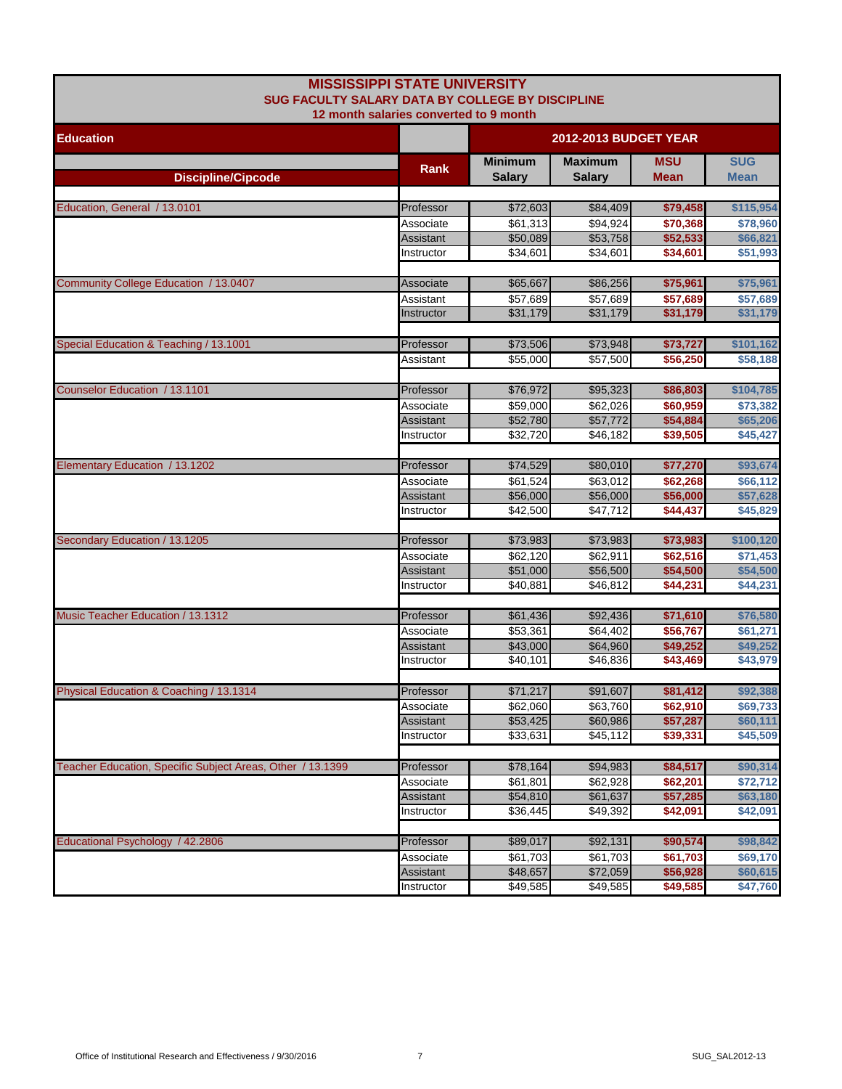| <b>MISSISSIPPI STATE UNIVERSITY</b>                        |                                        |                              |                      |                      |                      |  |
|------------------------------------------------------------|----------------------------------------|------------------------------|----------------------|----------------------|----------------------|--|
| <b>SUG FACULTY SALARY DATA BY COLLEGE BY DISCIPLINE</b>    | 12 month salaries converted to 9 month |                              |                      |                      |                      |  |
| <b>Education</b>                                           |                                        | <b>2012-2013 BUDGET YEAR</b> |                      |                      |                      |  |
|                                                            | <b>Rank</b>                            | <b>Minimum</b>               | <b>Maximum</b>       | <b>MSU</b>           | <b>SUG</b>           |  |
| <b>Discipline/Cipcode</b>                                  |                                        | <b>Salary</b>                | <b>Salary</b>        | <b>Mean</b>          | Mean                 |  |
|                                                            |                                        |                              |                      |                      |                      |  |
| Education, General / 13.0101                               | Professor                              | \$72,603                     | \$84,409             | \$79,458             | \$115,954            |  |
|                                                            | Associate<br>Assistant                 | \$61,313<br>\$50,089         | \$94,924<br>\$53,758 | \$70,368<br>\$52,533 | \$78,960<br>\$66,821 |  |
|                                                            | Instructor                             | \$34.601                     | \$34,601             | \$34,601             | \$51,993             |  |
|                                                            |                                        |                              |                      |                      |                      |  |
| Community College Education / 13.0407                      | Associate                              | \$65,667                     | \$86,256             | \$75,961             | \$75,961             |  |
|                                                            | Assistant                              | \$57,689                     | \$57,689             | \$57,689             | \$57,689             |  |
|                                                            | Instructor                             | \$31,179                     | \$31,179             | \$31,179             | \$31,179             |  |
|                                                            |                                        |                              |                      |                      |                      |  |
| Special Education & Teaching / 13.1001                     | Professor                              | \$73,506                     | \$73,948             | \$73,727             | \$101,162            |  |
|                                                            | Assistant                              | \$55,000                     | \$57,500             | \$56,250             | \$58,188             |  |
|                                                            |                                        |                              |                      |                      |                      |  |
| Counselor Education / 13.1101                              | Professor                              | \$76,972                     | \$95,323             | \$86,803             | \$104,785            |  |
|                                                            | Associate                              | \$59,000                     | \$62,026             | \$60,959             | \$73,382             |  |
|                                                            | Assistant                              | \$52,780                     | \$57,772             | \$54,884             | \$65,206             |  |
|                                                            | Instructor                             | \$32,720                     | \$46,182             | \$39,505             | \$45,427             |  |
|                                                            |                                        |                              |                      |                      |                      |  |
| Elementary Education / 13.1202                             | Professor                              | \$74,529                     | \$80,010             | \$77,270             | \$93,674             |  |
|                                                            | Associate                              | \$61,524                     | \$63,012             | \$62,268             | \$66,112             |  |
|                                                            | Assistant<br>Instructor                | \$56,000<br>\$42,500         | \$56,000<br>\$47,712 | \$56,000<br>\$44,437 | \$57,628<br>\$45,829 |  |
|                                                            |                                        |                              |                      |                      |                      |  |
| Secondary Education / 13.1205                              | Professor                              | \$73,983                     | \$73,983             | \$73,983             | \$100,120            |  |
|                                                            | Associate                              | \$62,120                     | \$62,911             | \$62,516             | \$71,453             |  |
|                                                            | Assistant                              | \$51,000                     | \$56,500             | \$54,500             | \$54,500             |  |
|                                                            | Instructor                             | \$40,881                     | \$46,812             | \$44,231             | \$44,231             |  |
|                                                            |                                        |                              |                      |                      |                      |  |
| Music Teacher Education / 13.1312                          | Professor                              | \$61,436                     | \$92,436             | \$71,610             | \$76,580             |  |
|                                                            | Associate                              | \$53,361                     | \$64,402             | \$56,767             | \$61,271             |  |
|                                                            | Assistant                              | \$43,000                     | \$64,960             | \$49,252             | \$49,252             |  |
|                                                            | Instructor                             | \$40,101                     | \$46,836             | \$43,469             | \$43,979             |  |
|                                                            |                                        |                              |                      |                      |                      |  |
| Physical Education & Coaching / 13.1314                    | Professor                              | \$71,217                     | \$91,607             | \$81,412             | \$92,388             |  |
|                                                            | Associate                              | \$62,060<br>\$53,425         | \$63,760             | \$62,910             | \$69,733             |  |
|                                                            | Assistant<br>Instructor                | \$33,631                     | \$60,986<br>\$45,112 | \$57,287<br>\$39,331 | \$60,111<br>\$45,509 |  |
|                                                            |                                        |                              |                      |                      |                      |  |
| Teacher Education, Specific Subject Areas, Other / 13.1399 | Professor                              | \$78,164                     | \$94,983             | \$84,517             | \$90,314             |  |
|                                                            | Associate                              | \$61,801                     | \$62,928             | \$62,201             | \$72,712             |  |
|                                                            | Assistant                              | \$54,810                     | \$61,637             | \$57,285             | \$63,180             |  |
|                                                            | Instructor                             | \$36,445                     | \$49,392             | \$42,091             | \$42,091             |  |
|                                                            |                                        |                              |                      |                      |                      |  |
| Educational Psychology / 42.2806                           | Professor                              | \$89,017                     | \$92,131             | \$90,574             | \$98,842             |  |
|                                                            | Associate                              | \$61,703                     | \$61,703             | \$61,703             | \$69,170             |  |
|                                                            | Assistant                              | \$48,657                     | \$72,059             | \$56,928             | \$60,615             |  |
|                                                            | Instructor                             | \$49,585                     | \$49,585             | \$49,585             | \$47,760             |  |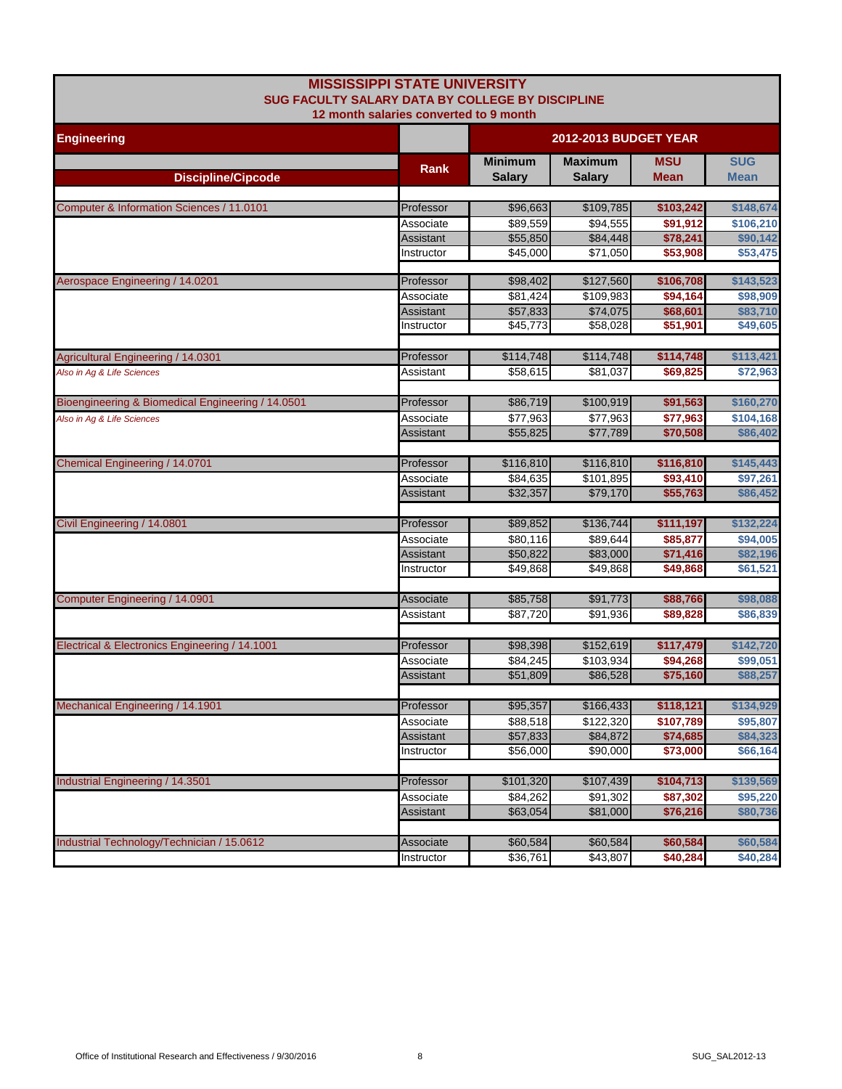| <b>MISSISSIPPI STATE UNIVERSITY</b><br><b>SUG FACULTY SALARY DATA BY COLLEGE BY DISCIPLINE</b> |                                        |                                 |                                 |                    |                           |
|------------------------------------------------------------------------------------------------|----------------------------------------|---------------------------------|---------------------------------|--------------------|---------------------------|
| <b>Engineering</b>                                                                             | 12 month salaries converted to 9 month | <b>2012-2013 BUDGET YEAR</b>    |                                 |                    |                           |
| <b>Discipline/Cipcode</b>                                                                      | Rank                                   | <b>Minimum</b><br><b>Salary</b> | <b>Maximum</b><br><b>Salary</b> | <b>MSU</b><br>Mean | <b>SUG</b><br><b>Mean</b> |
|                                                                                                |                                        |                                 |                                 |                    |                           |
| Computer & Information Sciences / 11.0101                                                      | Professor                              | \$96,663                        | \$109,785                       | \$103,242          | \$148,674                 |
|                                                                                                | Associate                              | \$89,559                        | \$94,555                        | \$91,912           | \$106,210                 |
|                                                                                                | Assistant                              | \$55,850                        | \$84,448                        | \$78,241           | \$90,142                  |
|                                                                                                | Instructor                             | \$45,000                        | \$71,050                        | \$53,908           | \$53,475                  |
| Aerospace Engineering / 14.0201                                                                | Professor                              | \$98,402                        | \$127,560                       | \$106,708          | \$143,523                 |
|                                                                                                | Associate                              | \$81,424                        | \$109,983                       | \$94,164           | \$98,909                  |
|                                                                                                | Assistant                              | \$57,833                        | \$74,075                        | \$68,601           | \$83,710                  |
|                                                                                                | Instructor                             | \$45,773                        | \$58,028                        | \$51,901           | \$49,605                  |
| <b>Agricultural Engineering / 14.0301</b>                                                      | Professor                              | \$114,748                       | \$114,748                       | \$114,748          | \$113,421                 |
| Also in Aq & Life Sciences                                                                     | Assistant                              | \$58,615                        | \$81,037                        | \$69,825           | \$72,963                  |
| Bioengineering & Biomedical Engineering / 14.0501                                              | Professor                              | \$86,719                        | \$100,919                       | \$91,563           | \$160,270                 |
| Also in Ag & Life Sciences                                                                     | Associate                              | \$77,963                        | \$77,963                        | \$77,963           | \$104,168                 |
|                                                                                                | Assistant                              | \$55,825                        | \$77,789                        | \$70,508           | \$86,402                  |
| Chemical Engineering / 14.0701                                                                 | Professor                              | \$116,810                       | \$116,810                       | \$116,810          | \$145,443                 |
|                                                                                                | Associate                              | \$84,635                        | \$101.895                       | \$93,410           | \$97.261                  |
|                                                                                                | Assistant                              | \$32,357                        | \$79,170                        | \$55,763           | \$86,452                  |
| Civil Engineering / 14.0801                                                                    | Professor                              | \$89,852                        | \$136,744                       | \$111,197          | \$132,224                 |
|                                                                                                | Associate                              | \$80,116                        | \$89,644                        | \$85,877           | \$94,005                  |
|                                                                                                | Assistant                              | \$50,822                        | \$83,000                        | \$71,416           | \$82,196                  |
|                                                                                                | Instructor                             | \$49,868                        | \$49,868                        | \$49,868           | \$61,521                  |
| Computer Engineering / 14.0901                                                                 | Associate                              | \$85,758                        | \$91,773                        | \$88,766           | \$98,088                  |
|                                                                                                | Assistant                              | \$87,720                        | \$91,936                        | \$89,828           | \$86,839                  |
| Electrical & Electronics Engineering / 14.1001                                                 | Professor                              |                                 | \$152,619                       | \$117,479          | \$142,720                 |
|                                                                                                | Associate                              | \$98,398<br>\$84,245            | \$103,934                       | \$94,268           | \$99,051                  |
|                                                                                                | Assistant                              | \$51,809                        | \$86,528                        | \$75,160           | \$88,257                  |
|                                                                                                |                                        |                                 |                                 |                    |                           |
| Mechanical Engineering / 14.1901                                                               | Professor                              | \$95,357                        | \$166,433                       | \$118,121          | \$134,929                 |
|                                                                                                | Associate                              | \$88,518                        | \$122,320                       | \$107,789          | \$95,807                  |
|                                                                                                | Assistant                              | \$57,833<br>\$56,000            | \$84,872                        | \$74,685           | \$84,323                  |
|                                                                                                | Instructor                             |                                 | \$90,000                        | \$73,000           | \$66,164                  |
| Industrial Engineering / 14.3501                                                               | Professor                              | \$101,320                       | \$107,439                       | \$104,713          | \$139,569                 |
|                                                                                                | Associate                              | \$84,262                        | \$91,302                        | \$87,302           | \$95,220                  |
|                                                                                                | Assistant                              | \$63,054                        | \$81,000                        | \$76,216           | \$80,736                  |
| Industrial Technology/Technician / 15.0612                                                     | Associate                              | \$60,584                        | \$60,584                        | \$60,584           | \$60,584                  |
|                                                                                                | Instructor                             | \$36,761                        | \$43,807                        | \$40,284           | \$40,284                  |
|                                                                                                |                                        |                                 |                                 |                    |                           |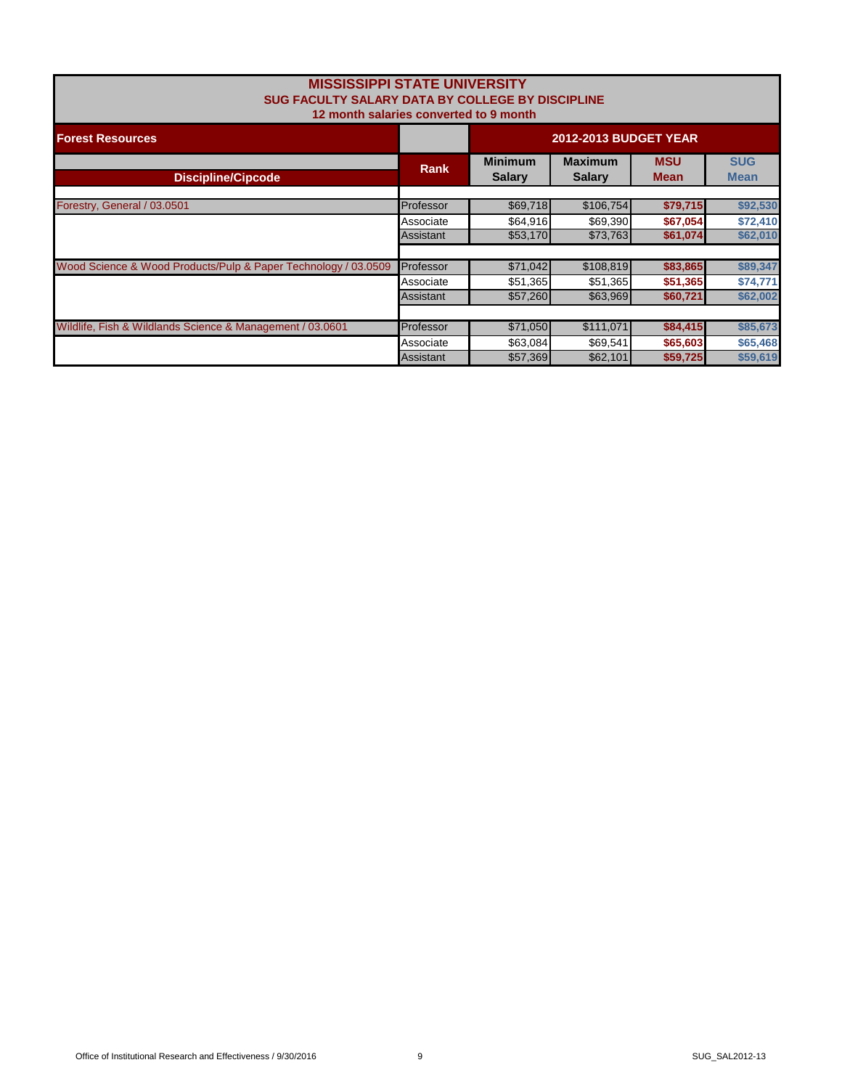| <b>MISSISSIPPI STATE UNIVERSITY</b><br>SUG FACULTY SALARY DATA BY COLLEGE BY DISCIPLINE<br>12 month salaries converted to 9 month |             |                                 |                                 |                           |                           |
|-----------------------------------------------------------------------------------------------------------------------------------|-------------|---------------------------------|---------------------------------|---------------------------|---------------------------|
| <b>Forest Resources</b>                                                                                                           |             | <b>2012-2013 BUDGET YEAR</b>    |                                 |                           |                           |
| <b>Discipline/Cipcode</b>                                                                                                         | <b>Rank</b> | <b>Minimum</b><br><b>Salary</b> | <b>Maximum</b><br><b>Salary</b> | <b>MSU</b><br><b>Mean</b> | <b>SUG</b><br><b>Mean</b> |
| Forestry, General / 03.0501                                                                                                       | Professor   | \$69,718                        | \$106,754                       | \$79,715                  | \$92,530                  |
|                                                                                                                                   | Associate   | \$64,916                        | \$69,390                        | \$67,054                  | \$72,410                  |
|                                                                                                                                   | Assistant   | \$53,170                        | \$73,763                        | \$61,074                  | \$62,010                  |
| Wood Science & Wood Products/Pulp & Paper Technology / 03.0509                                                                    | Professor   | \$71,042                        | \$108,819                       | \$83,865                  | \$89,347                  |
|                                                                                                                                   | Associate   | \$51,365                        | \$51,365                        | \$51,365                  | \$74,771                  |
|                                                                                                                                   | Assistant   | \$57,260                        | \$63,969                        | \$60,721                  | \$62,002                  |
|                                                                                                                                   |             |                                 |                                 |                           |                           |
| Wildlife, Fish & Wildlands Science & Management / 03.0601                                                                         | Professor   | \$71,050                        | \$111,071                       | \$84,415                  | \$85,673                  |
|                                                                                                                                   | Associate   | \$63,084                        | \$69,541                        | \$65,603                  | \$65,468                  |
|                                                                                                                                   | Assistant   | \$57,369                        | \$62,101                        | \$59,725                  | \$59,619                  |